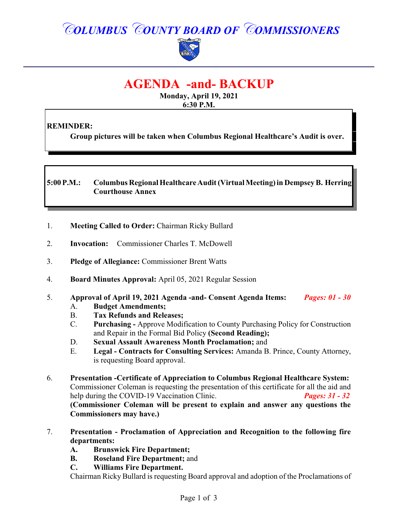# *COLUMBUS COUNTY BOARD OF COMMISSIONERS*



# **AGENDA -and- BACKUP**

**Monday, April 19, 2021 6:30 P.M.**

# **REMINDER:**

**Group pictures will be taken when Columbus Regional Healthcare's Audit is over.**

### **5:00 P.M.: Columbus Regional Healthcare Audit (Virtual Meeting) in Dempsey B. Herring Courthouse Annex**

- 1. **Meeting Called to Order:** Chairman Ricky Bullard
- 2. **Invocation:** Commissioner Charles T. McDowell
- 3. **Pledge of Allegiance:** Commissioner Brent Watts
- 4. **Board Minutes Approval:** April 05, 2021 Regular Session
- 5. **Approval of April 19, 2021 Agenda -and- Consent Agenda Items:** *Pages: 01 - 30*
	- A. **Budget Amendments;**
	- B. **Tax Refunds and Releases;**
	- C. **Purchasing** Approve Modification to County Purchasing Policy for Construction and Repair in the Formal Bid Policy **(Second Reading);**
	- D. **Sexual Assault Awareness Month Proclamation;** and
	- E. **Legal Contracts for Consulting Services:** Amanda B. Prince, County Attorney, is requesting Board approval.
- 6. **Presentation -Certificate of Appreciation to Columbus Regional Healthcare System:** Commissioner Coleman is requesting the presentation of this certificate for all the aid and help during the COVID-19 Vaccination Clinic. *Pages: 31 - 32* **(Commissioner Coleman will be present to explain and answer any questions the Commissioners may have.)**
- 7. **Presentation Proclamation of Appreciation and Recognition to the following fire departments:**
	- **A. Brunswick Fire Department;**
	- **B. Roseland Fire Department;** and
	- **C. Williams Fire Department.**

Chairman Ricky Bullard is requesting Board approval and adoption of the Proclamations of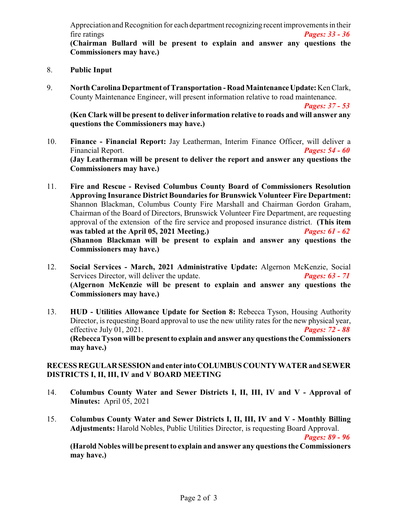Appreciation and Recognition for each department recognizing recent improvements in their fire ratings *Pages: 33 - 36*

**(Chairman Bullard will be present to explain and answer any questions the Commissioners may have.)**

- 8. **Public Input**
- 9. **North Carolina Department ofTransportation Road MaintenanceUpdate:**Ken Clark, County Maintenance Engineer, will present information relative to road maintenance.

*Pages: 37 - 53*

**(Ken Clark will be present to deliver information relative to roads and will answer any questions the Commissioners may have.)**

- 10. **Finance Financial Report:** Jay Leatherman, Interim Finance Officer, will deliver a Financial Report. *Pages: 54 - 60* **(Jay Leatherman will be present to deliver the report and answer any questions the Commissioners may have.)**
- 11. **Fire and Rescue - Revised Columbus County Board of Commissioners Resolution Approving Insurance District Boundaries for Brunswick Volunteer Fire Department:** Shannon Blackman, Columbus County Fire Marshall and Chairman Gordon Graham, Chairman of the Board of Directors, Brunswick Volunteer Fire Department, are requesting approval of the extension of the fire service and proposed insurance district. **(This item was tabled at the April 05, 2021 Meeting.)** *Pages: 61 - 62* **(Shannon Blackman will be present to explain and answer any questions the Commissioners may have.)**
- 12. **Social Services March, 2021 Administrative Update:** Algernon McKenzie, Social Services Director, will deliver the update. *Pages: 63 - 71* **(Algernon McKenzie will be present to explain and answer any questions the Commissioners may have.)**
- 13. **HUD Utilities Allowance Update for Section 8:** Rebecca Tyson, Housing Authority Director, is requesting Board approval to use the new utility rates for the new physical year, effective July 01, 2021. *Pages: 72 - 88* **(Rebecca Tyson will be presentto explain and answer any questions the Commissioners may have.)**

#### **RECESS REGULARSESSIONand enter intoCOLUMBUS COUNTY WATER and SEWER DISTRICTS I, II, III, IV and V BOARD MEETING**

- 14. **Columbus County Water and Sewer Districts I, II, III, IV and V Approval of Minutes:** April 05, 2021
- 15. **Columbus County Water and Sewer Districts I, II, III, IV and V Monthly Billing Adjustments:** Harold Nobles, Public Utilities Director, is requesting Board Approval.

*Pages: 89 - 96*

**(Harold Nobles will be present to explain and answer any questions the Commissioners may have.)**